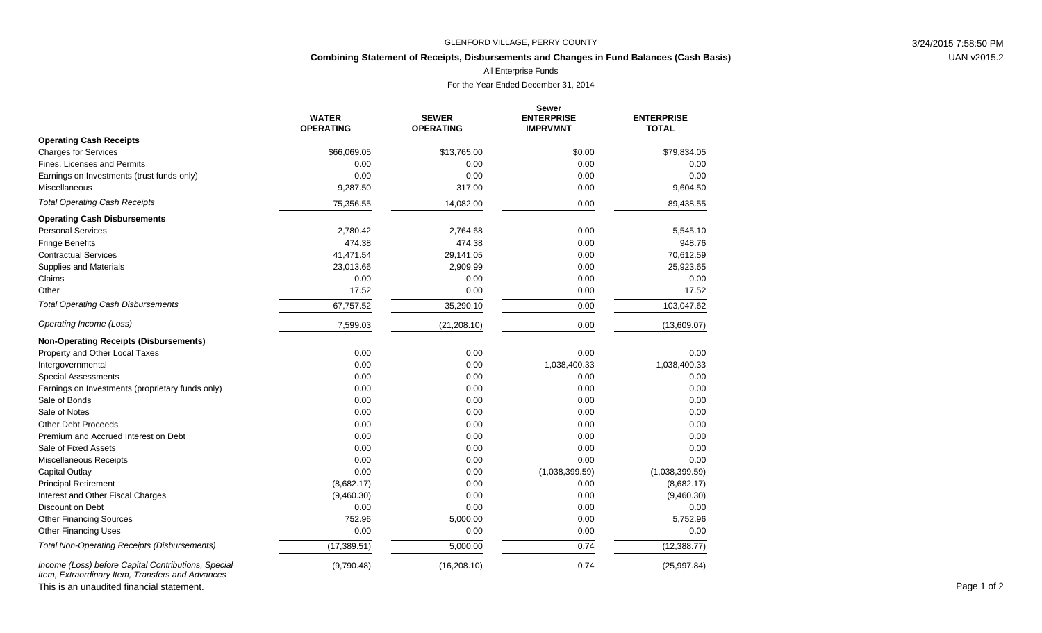### GLENFORD VILLAGE, PERRY COUNTY 3/24/2015 7:58:50 PM

# **Combining Statement of Receipts, Disbursements and Changes in Fund Balances (Cash Basis)**

All Enterprise Funds

For the Year Ended December 31, 2014

|                                                                                                         | <b>WATER</b><br><b>OPERATING</b> | <b>SEWER</b><br><b>OPERATING</b> | <b>Sewer</b><br><b>ENTERPRISE</b><br><b>IMPRVMNT</b> | <b>ENTERPRISE</b><br><b>TOTAL</b> |
|---------------------------------------------------------------------------------------------------------|----------------------------------|----------------------------------|------------------------------------------------------|-----------------------------------|
| <b>Operating Cash Receipts</b>                                                                          |                                  |                                  |                                                      |                                   |
| <b>Charges for Services</b>                                                                             | \$66,069.05                      | \$13,765.00                      | \$0.00                                               | \$79,834.05                       |
| Fines, Licenses and Permits                                                                             | 0.00                             | 0.00                             | 0.00                                                 | 0.00                              |
| Earnings on Investments (trust funds only)                                                              | 0.00                             | 0.00                             | 0.00                                                 | 0.00                              |
| Miscellaneous                                                                                           | 9,287.50                         | 317.00                           | 0.00                                                 | 9,604.50                          |
| <b>Total Operating Cash Receipts</b>                                                                    | 75,356.55                        | 14,082.00                        | 0.00                                                 | 89,438.55                         |
| <b>Operating Cash Disbursements</b>                                                                     |                                  |                                  |                                                      |                                   |
| <b>Personal Services</b>                                                                                | 2,780.42                         | 2,764.68                         | 0.00                                                 | 5,545.10                          |
| <b>Fringe Benefits</b>                                                                                  | 474.38                           | 474.38                           | 0.00                                                 | 948.76                            |
| <b>Contractual Services</b>                                                                             | 41,471.54                        | 29,141.05                        | 0.00                                                 | 70,612.59                         |
| <b>Supplies and Materials</b>                                                                           | 23,013.66                        | 2,909.99                         | 0.00                                                 | 25,923.65                         |
| Claims                                                                                                  | 0.00                             | 0.00                             | 0.00                                                 | 0.00                              |
| Other                                                                                                   | 17.52                            | 0.00                             | 0.00                                                 | 17.52                             |
| <b>Total Operating Cash Disbursements</b>                                                               | 67,757.52                        | 35,290.10                        | 0.00                                                 | 103,047.62                        |
| Operating Income (Loss)                                                                                 | 7,599.03                         | (21, 208.10)                     | 0.00                                                 | (13,609.07)                       |
| <b>Non-Operating Receipts (Disbursements)</b>                                                           |                                  |                                  |                                                      |                                   |
| Property and Other Local Taxes                                                                          | 0.00                             | 0.00                             | 0.00                                                 | 0.00                              |
| Intergovernmental                                                                                       | 0.00                             | 0.00                             | 1,038,400.33                                         | 1,038,400.33                      |
| <b>Special Assessments</b>                                                                              | 0.00                             | 0.00                             | 0.00                                                 | 0.00                              |
| Earnings on Investments (proprietary funds only)                                                        | 0.00                             | 0.00                             | 0.00                                                 | 0.00                              |
| Sale of Bonds                                                                                           | 0.00                             | 0.00                             | 0.00                                                 | 0.00                              |
| Sale of Notes                                                                                           | 0.00                             | 0.00                             | 0.00                                                 | 0.00                              |
| <b>Other Debt Proceeds</b>                                                                              | 0.00                             | 0.00                             | 0.00                                                 | 0.00                              |
| Premium and Accrued Interest on Debt                                                                    | 0.00                             | 0.00                             | 0.00                                                 | 0.00                              |
| Sale of Fixed Assets                                                                                    | 0.00                             | 0.00                             | 0.00                                                 | 0.00                              |
| Miscellaneous Receipts                                                                                  | 0.00                             | 0.00                             | 0.00                                                 | 0.00                              |
| <b>Capital Outlay</b>                                                                                   | 0.00                             | 0.00                             | (1,038,399.59)                                       | (1,038,399.59)                    |
| <b>Principal Retirement</b>                                                                             | (8,682.17)                       | 0.00                             | 0.00                                                 | (8,682.17)                        |
| Interest and Other Fiscal Charges                                                                       | (9,460.30)                       | 0.00                             | 0.00                                                 | (9,460.30)                        |
| Discount on Debt                                                                                        | 0.00                             | 0.00                             | 0.00                                                 | 0.00                              |
| <b>Other Financing Sources</b>                                                                          | 752.96                           | 5,000.00                         | 0.00                                                 | 5,752.96                          |
| <b>Other Financing Uses</b>                                                                             | 0.00                             | 0.00                             | 0.00                                                 | 0.00                              |
| <b>Total Non-Operating Receipts (Disbursements)</b>                                                     | (17, 389.51)                     | 5,000.00                         | 0.74                                                 | (12, 388.77)                      |
| Income (Loss) before Capital Contributions, Special<br>Item, Extraordinary Item, Transfers and Advances | (9,790.48)                       | (16, 208.10)                     | 0.74                                                 | (25, 997.84)                      |

This is an unaudited financial statement. Page 1 of 2